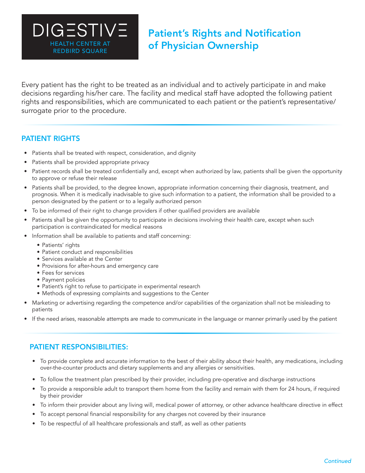Every patient has the right to be treated as an individual and to actively participate in and make decisions regarding his/her care. The facility and medical staff have adopted the following patient rights and responsibilities, which are communicated to each patient or the patient's representative/ surrogate prior to the procedure.

## PATIENT RIGHTS REDBIRD SQUARE

- Patients shall be treated with respect, consideration, and dignity
- Patients shall be provided appropriate privacy

HEALTH CENTER AT

HEALTH CENTER AT REDBIRD SQUARE HEALTH CENTER AT

**DIGESTIVE** 

- Patient records shall be treated confidentially and, except when authorized by law, patients shall be given the opportunity to approve or refuse their release
- Patients shall be provided, to the degree known, appropriate information concerning their diagnosis, treatment, and prognosis. When it is medically inadvisable to give such information to a patient, the information shall be provided to a person designated by the patient or to a legally authorized person
- To be informed of their right to change providers if other qualified providers are available
- Patients shall be given the opportunity to participate in decisions involving their health care, except when such participation is contraindicated for medical reasons
- Information shall be available to patients and staff concerning:
	- Patients' rights
	- Patient conduct and responsibilities
	- Services available at the Center
	- Provisions for after-hours and emergency care
	- Fees for services
	- Payment policies
	- Patient's right to refuse to participate in experimental research
	- Methods of expressing complaints and suggestions to the Center
- Marketing or advertising regarding the competence and/or capabilities of the organization shall not be misleading to patients
- If the need arises, reasonable attempts are made to communicate in the language or manner primarily used by the patient

# PATIENT RESPONSIBILITIES:

- To provide complete and accurate information to the best of their ability about their health, any medications, including over-the-counter products and dietary supplements and any allergies or sensitivities.
- To follow the treatment plan prescribed by their provider, including pre-operative and discharge instructions
- To provide a responsible adult to transport them home from the facility and remain with them for 24 hours, if required by their provider
- To inform their provider about any living will, medical power of attorney, or other advance healthcare directive in effect
- To accept personal financial responsibility for any charges not covered by their insurance
- To be respectful of all healthcare professionals and staff, as well as other patients